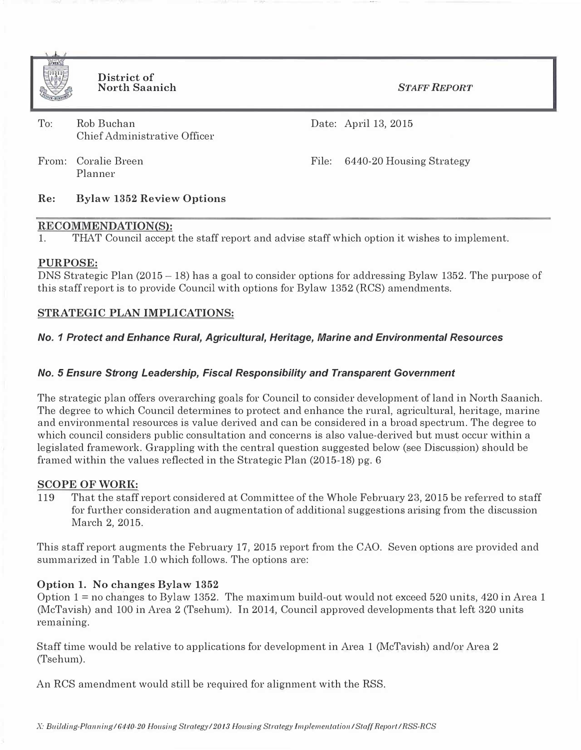

District of North Saanich

STAFF REPORT

| $\text{To:}$ | Rob Buchan                   |
|--------------|------------------------------|
|              | Chief Administrative Officer |

Date: April 13, 2015

From: Coralie Breen Planner

File: 6440-20 Housing Strategy

## Re: Bylaw 1352 Review Options

#### RECOMMENDATION(S):

1. THAT Council accept the staff report and advise staff which option it wishes to implement.

## PURPOSE:

DNS Strategic Plan (2015 - 18) has a goal to consider options for addressing Bylaw 1352. The purpose of this staff report is to provide Council with options for Bylaw 1352 (RCS) amendments.

## STRATEGIC PLAN IMPLICATIONS:

## No. 1 Protect and Enhance Rural, Agricultural, Heritage, Marine and Environmental Resources

## No. 5 Ensure Strong Leadership, Fiscal Responsibility and Transparent Government

The strategic plan offers overarching goals for Council to consider development of land in North Saanich. The degree to which Council determines to protect and enhance the rural, agricultural, heritage, marine and environmental resources is value derived and can be considered in a broad spectrum. The degree to which council considers public consultation and concerns is also value-derived but must occur within a legislated framework. Grappling with the central question suggested below (see Discussion) should be framed within the values reflected in the Strategic Plan (2015-18) pg. 6

## SCOPE OF WORK:

119 That the staff report considered at Committee of the Whole February 23, 2015 be referred to staff for further consideration and augmentation of additional suggestions arising from the discussion March 2, 2015.

This staff report augments the February 17, 2015 report from the CAO. Seven options are provided and summarized in Table 1.0 which follows. The options are:

## Option 1. No changes Bylaw 1352

Option 1 = no changes to Bylaw 1352. The maximum build-out would not exceed 520 units, 420 in Area 1 (McTavish) and 100 in Area 2 (Tsehum). In 2014, Council approved developments that left 320 units remaining.

Staff time would be relative to applications for development in Area 1 (McTavish) and/or Area 2 (Tsehum).

An RCS amendment would still be required for alignment with the RSS.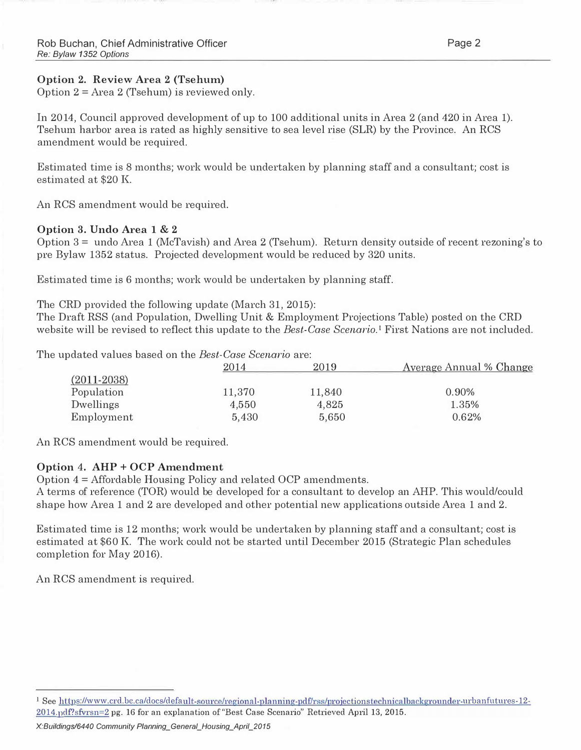# Option 2. Review Area 2 (Tsehum)

Option  $2 = Area 2$  (Tsehum) is reviewed only.

In 2014, Council approved development of up to 100 additional units in Area 2 (and 420 in Area 1). Tsehum harbor area is rated as highly sensitive to sea level rise (SLR) by the Province. An RCS amendment would be required.

Estimated time is 8 months; work would be undertaken by planning staff and a consultant; cost is estimated at \$20 K

An RCS amendment would be required.

## Option 3. Undo Area 1 & 2

Option 3 = undo Area 1 (McTavish) and Area 2 (Tsehum). Return density outside of recent rezoning's to pre Bylaw 1352 status. Projected development would be reduced by 320 units.

Estimated time is 6 months; work would be undertaken by planning staff.

The CRD provided the following update (March 31, 2015):

The Draft RSS (and Population, Dwelling Unit & Employment Projections Table) posted on the CRD website will be revised to reflect this update to the *Best-Case Scenario*.<sup>1</sup> First Nations are not included.

The updated values based on the *Best-Case Scenario* are:

|                 | $2014\,$ | 2019   | Average Annual % Change |
|-----------------|----------|--------|-------------------------|
| $(2011 - 2038)$ |          |        |                         |
| Population      | 11,370   | 11,840 | 0.90%                   |
| Dwellings       | 4,550    | 4,825  | 1.35%                   |
| Employment      | 5,430    | 5,650  | 0.62%                   |

An RCS amendment would be required.

## Option 4. AHP + OCP Amendment

Option 4 = Affordable Housing Policy and related OCP amendments.

A terms of reference (TOR) would be developed for a consultant to develop an AHP. This would/could shape how Area 1 and 2 are developed and other potential new applications outside Area 1 and 2.

Estimated time is 12 months; work would be undertaken by planning staff and a consultant; cost is estimated at \$60 K. The work could not be started until December 2015 (Strategic Plan schedules completion for May 2016).

An RCS amendment is required.

<sup>&</sup>lt;sup>1</sup> See https://www.crd.be.ca/docs/default-source/regional-planning-pdf/rss/projectionstechnicalbackgrounder-urbanfutures-12- $2014$ . pdf?sfvrsn=2 pg. 16 for an explanation of "Best Case Scenario" Retrieved April 13, 2015.

X:Buildings/6440 Community Planning\_General\_Housing\_April\_2015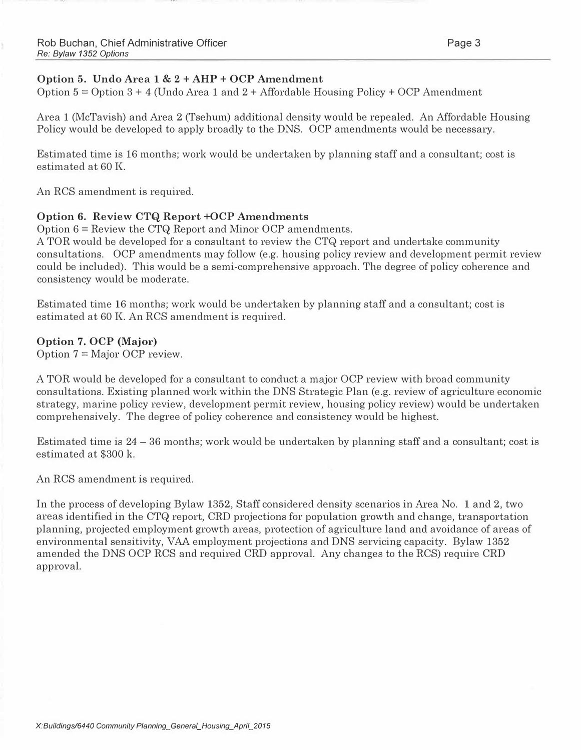# Option 5. Undo Area 1 & 2 + AHP + OCP Amendment

Option  $5 =$  Option  $3 + 4$  (Undo Area 1 and  $2 +$  Affordable Housing Policy + OCP Amendment

Area 1 (McTavish) and Area 2 (Tsehum) additional density would be repealed. An Affordable Housing Policy would be developed to apply broadly to the DNS. OCP amendments would be necessary.

Estimated time is 16 months; work would be undertaken by planning staff and a consultant; cost is estimated at 60 K.

An RCS amendment is required.

# Option 6. Review CTQ Report +OCP Amendments

Option 6 = Review the CTQ Report and Minor OCP amendments.

A TOR would be developed for a consultant to review the CTQ report and undertake community consultations. OCP amendments may follow (e.g. housing policy review and development permit review could be included). This would be a semi-comprehensive approach. The degree of policy coherence and consistency would be moderate.

Estimated time 16 months; work would be undertaken by planning staff and a consultant; cost is estimated at 60 K. An RCS amendment is required.

## Option 7. OCP (Major)

Option  $7 =$  Major OCP review.

A TOR would be developed for a consultant to conduct a major OCP review with broad community consultations. Existing planned work within the DNS Strategic Plan (e.g. review of agriculture economic strategy, marine policy review, development permit review, housing policy review) would be undertaken comprehensively. The degree of policy coherence and consistency would be highest.

Estimated time is 24 - 36 months; work would be undertaken by planning staff and a consultant; cost is estimated at \$300 k.

An RCS amendment is required.

In the process of developing Bylaw 1352, Staff considered density scenarios in Area No. 1 and 2, two areas identified in the CTQ report, CRD projections for population growth and change, transportation planning, projected employment growth areas, protection of agriculture land and avoidance of areas of environmental sensitivity, VAA employment projections and DNS servicing capacity. Bylaw 1352 amended the DNS OCP RCS and required CRD approval. Any changes to the RCS) require CRD approval.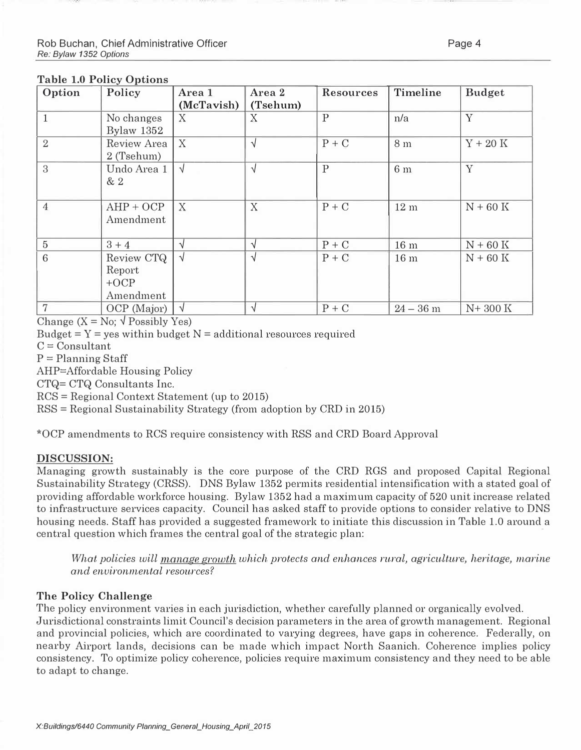#### Table 1.0 Policy Options

| Option         | Policy                                      | Area 1          | Area 2        | <b>Resources</b> | Timeline        | <b>Budget</b> |
|----------------|---------------------------------------------|-----------------|---------------|------------------|-----------------|---------------|
| $\mathbf{1}$   | No changes<br>Bylaw 1352                    | (McTavish)<br>X | (Tsehum)<br>X | $\mathbf{P}$     | n/a             | Y             |
| $\overline{2}$ | Review Area<br>2 (Tsehum)                   | X               | $\sqrt{ }$    | $P + C$          | 8 m             | $Y + 20$ K    |
| 3              | Undo Area 1<br>& 2                          | $\sqrt{ }$      | $\sqrt{ }$    | $\mathbf{P}$     | 6 <sub>m</sub>  | Y             |
| $\overline{4}$ | $AHP + OCP$<br>Amendment                    | X               | X             | $P + C$          | 12 <sub>m</sub> | $N + 60$ K    |
| $\bf 5$        | $3 + 4$                                     | V               | $\sqrt{ }$    | $P + C$          | 16 <sub>m</sub> | $N + 60$ K    |
| 6              | Review CTQ<br>Report<br>$+OCP$<br>Amendment | $\sqrt{ }$      | $\sqrt{2}$    | $P + C$          | 16 <sub>m</sub> | $N + 60$ K    |
| $\overline{7}$ | OCP (Major)                                 | $\sqrt{ }$      | $\sqrt{ }$    | $P + C$          | $24 - 36$ m     | $N+300K$      |

Change  $(X = No; \sqrt{Poss} \text{Dys}})$ 

Budget  $= Y = yes$  within budget  $N = additional$  resources required

 $C =$  Consultant

 $P =$ Planning Staff

AHP=Affordable Housing Policy

CTQ= CTQ Consultants Inc.

RCS =Regional Context Statement (up to 2015)

 $RSS = Regional Sustainable Strategy (from adoption by CRD in 2015)$ 

\*OCP amendments to RCS require consistency with RSS and CRD Board Approval

#### DISCUSSION:

Managing growth sustainably is the core purpose of the CRD RGS and proposed Capital Regional Sustainability Strategy (CRSS). DNS Bylaw 1352 permits residential intensification with a stated goal of providing affordable workforce housing. Bylaw 1352 had a maximum capacity of 520 unit increase related to infrastructure services capacity. Council has asked staff to provide options to consider relative to DNS housing needs. Staff has provided a suggested framework to initiate this discussion in Table 1.0 around a central question which frames the central goal of the strategic plan:

What policies will manage growth which protects and enhances rural, agriculture, heritage, marine and environmental resources?

## The Policy Challenge

The policy environment varies in each jurisdiction, whether carefully planned or organically evolved. Jurisdictional constraints limit Council's decision parameters in the area of growth management. Regional and provincial policies, which are coordinated to varying degrees, have gaps in coherence. Federally, on nearby Airport lands, decisions can be made which impact North Saanich. Coherence implies policy consistency. To optimize policy coherence, policies require maximum consistency and they need to be able to adapt to change.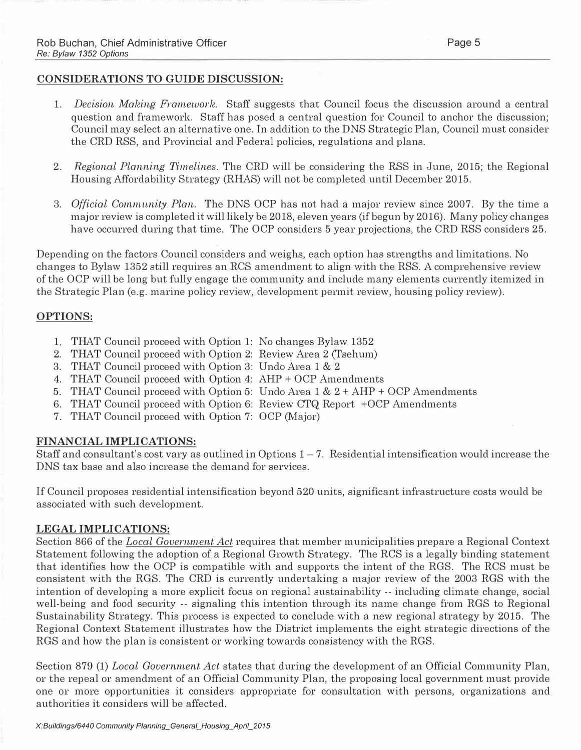#### CONSIDERATIONS TO GUIDE DISCUSSION:

- 1. Decision Making Framework. Staff suggests that Council focus the discussion around a central question and framework. Staff has posed a central question for Council to anchor the discussion; Council may select an alternative one. In addition to the DNS Strategic Plan, Council must consider the CRD RSS, and Provincial and Federal policies, regulations and plans.
- 2. Regional Planning Timelines. The CRD will be considering the RSS in June, 2015; the Regional Housing Affordability Strategy (RHAS) will not be completed until December 2015.
- 3. Official Community Plan. The DNS OCP has not had a major review since 2007. By the time a major review is completed it will likely be 2018, eleven years (if begun by 2016). Many policy changes have occurred during that time. The OCP considers 5 year projections, the CRD RSS considers 25.

Depending on the factors Council considers and weighs, each option has strengths and limitations. No changes to Bylaw 1352 still requires an RCS amendment to align with the RSS. A comprehensive review of the OCP will be long but fully engage the community and include many elements currently itemized in the Strategic Plan (e.g. marine policy review, development permit review, housing policy review).

## OPTIONS:

- 1. THAT Council proceed with Option 1: No changes Bylaw 1352
- 2. THAT Council proceed with Option 2: Review Area 2 (Tsehum)
- 3. THAT Council proceed with Option 3: Undo Area 1 & 2
- 4. THAT Council proceed with Option 4: AHP + OCP Amendments
- 5. THAT Council proceed with Option 5: Undo Area  $1 \& 2 + AHP + OCP$  Amendments
- 6. THAT Council proceed with Option 6: Review CTQ Report + OCP Amendments
- 7. THAT Council proceed with Option 7: OCP (Major)

## FINANCIAL IMPLICATIONS:

Staff and consultant's cost vary as outlined in Options  $1-7$ . Residential intensification would increase the DNS tax base and also increase the demand for services.

If Council proposes residential intensification beyond 520 units, significant infrastructure costs would be associated with such development.

#### LEGAL IMPLICATIONS:

Section 866 of the Local Government Act requires that member municipalities prepare a Regional Context Statement following the adoption of a Regional Growth Strategy. The RCS is a legally binding statement that identifies how the OCP is compatible with and supports the intent of the RGS. The RCS must be consistent with the RGS. The CRD is currently undertaking a major review of the 2003 RGS with the intention of developing a more explicit focus on regional sustainability -- including climate change, social well-being and food security -- signaling this intention through its name change from RGS to Regional Sustainability Strategy. This process is expected to conclude with a new regional strategy by 2015. The Regional Context Statement illustrates how the District implements the eight strategic directions of the RGS and how the plan is consistent or working towards consistency with the RGS.

Section 879 (1) Local Government Act states that during the development of an Official Community Plan, or the repeal or amendment of an Official Community Plan, the proposing local government must provide one or more opportunities it considers appropriate for consultation with persons, organizations and authorities it considers will be affected.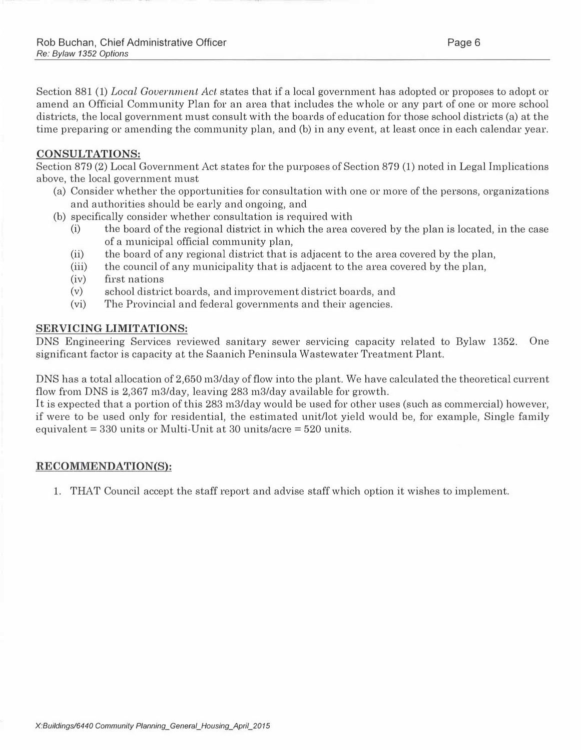Section 881 (1) Local Government Act states that if a local government has adopted or proposes to adopt or amend an Official Community Plan for an area that includes the whole or any part of one or more school districts, the local government must consult with the boards of education for those school districts (a) at the time preparing or amending the community plan, and (b) in any event, at least once in each calendar year.

## CONSULTATIONS:

Section 879 (2) Local Government Act states for the purposes of Section 879 (1) noted in Legal Implications above, the local government must

- (a) Consider whether the opportunities for consultation with one or more of the persons, organizations and authorities should be early and ongoing, and
- (b) specifically consider whether consultation is required with
	- (i) the board of the regional district in which the area covered by the plan is located, in the case of a municipal official community plan,
	- (ii) the board of any regional district that is adjacent to the area covered by the plan,
	- (iii) the council of any municipality that is adjacent to the area covered by the plan,
	- (iv) first nations
	- (v) school district boards, and improvement district boards, and
	- (vi) The Provincial and federal governments and their agencies.

#### SERVICING LIMITATIONS:

DNS Engineering Services reviewed sanitary sewer servicing capacity related to Bylaw 1352. One significant factor is capacity at the Saanich Peninsula Wastewater Treatment Plant.

DNS has a total allocation of 2,650 m3/day of flow into the plant. We have calculated the theoretical current flow from DNS is 2,367 m3/day, leaving 283 m3/day available for growth.

It is expected that a portion of this 283 m3/day would be used for other uses (such as commercial) however, if were to be used only for residential, the estimated unit/lot yield would be, for example, Single family equivalent =  $330$  units or Multi-Unit at  $30$  units/acre =  $520$  units.

## RECOMMENDATION(S):

1. THAT Council accept the staff report and advise staff which option it wishes to implement.